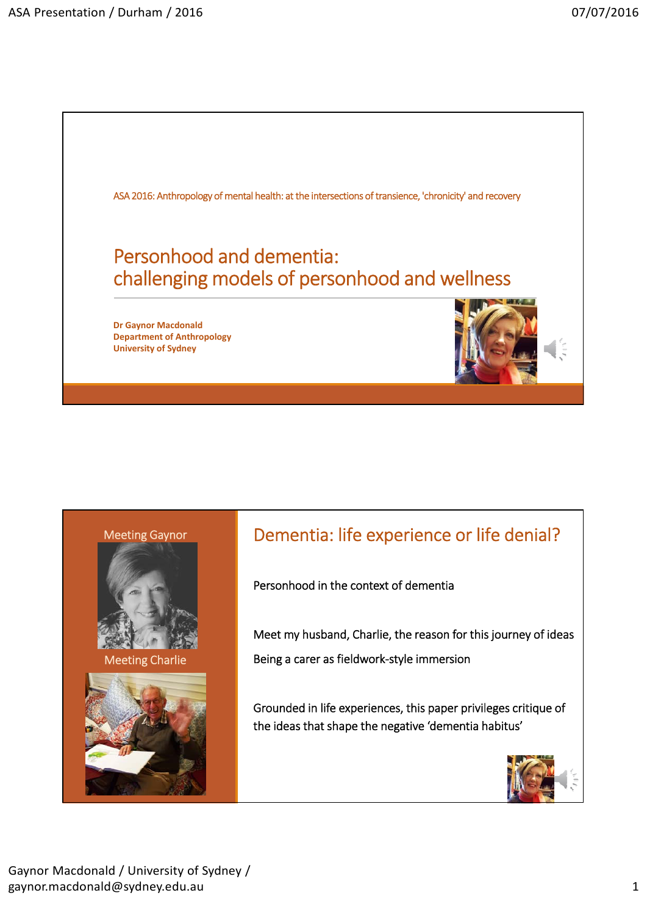





Meeting Charlie



## Dementia: life experience or life denial?

Personhood in the context of dementia

Meet my husband, Charlie, the reason for this journey of ideas Being a carer as fieldwork‐style immersion

Grounded in life experiences, this paper privileges critique of the ideas that shape the negative 'dementia habitus'

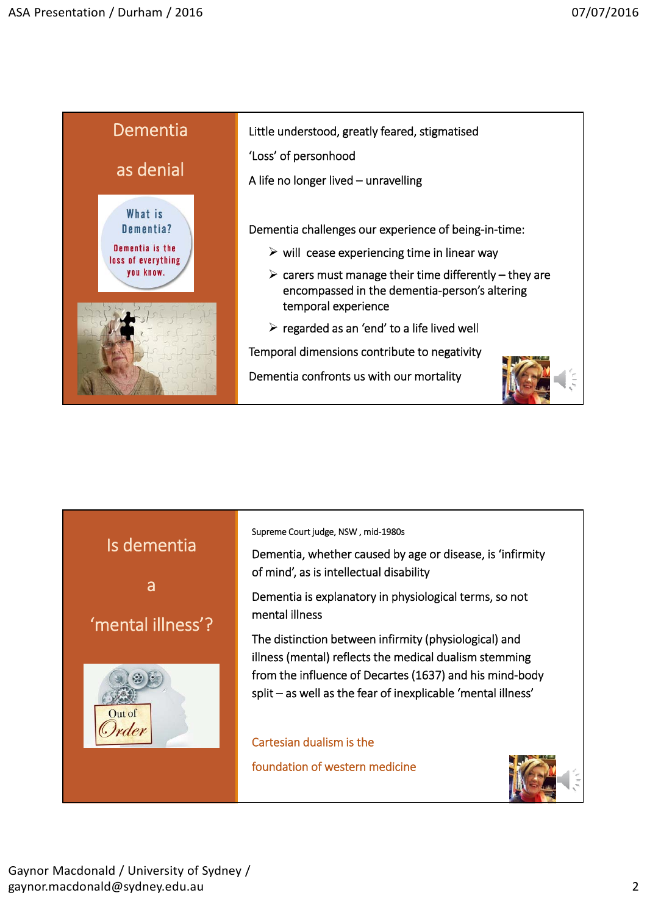

Little understood, greatly feared, stigmatised

'Loss' of personhood

A life no longer lived – unravelling

Dementia challenges our experience of being‐in‐time:

- $\triangleright$  will cease experiencing time in linear way
- $\triangleright$  carers must manage their time differently they are encompassed in the dementia‐person's altering temporal experience
- $\triangleright$  regarded as an 'end' to a life lived well

Temporal dimensions contribute to negativity

Dementia confronts us with our mortality



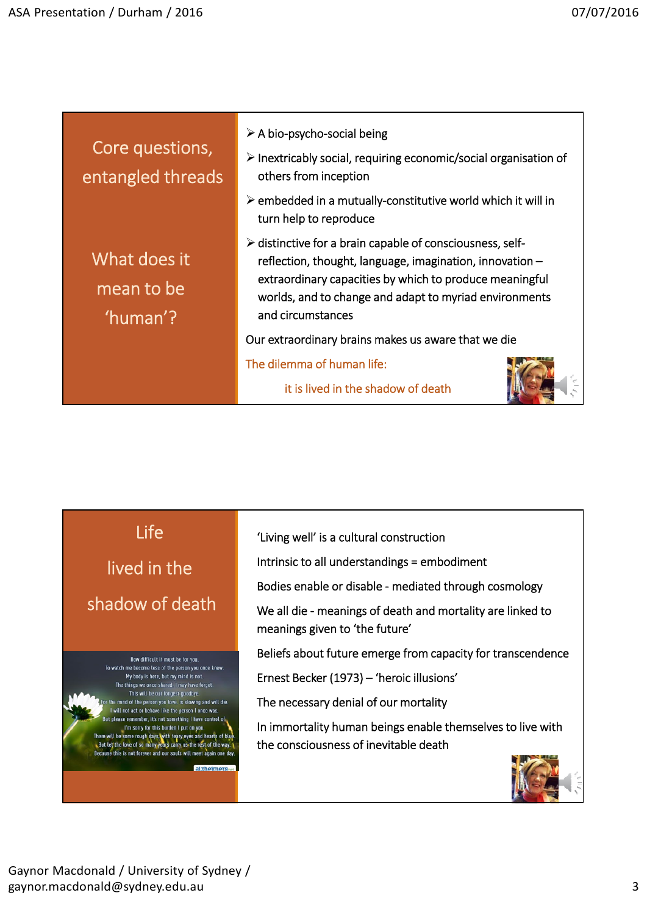| Core questions,<br>entangled threads   | $\triangleright$ A bio-psycho-social being<br>$\triangleright$ Inextricably social, requiring economic/social organisation of<br>others from inception<br>$\triangleright$ embedded in a mutually-constitutive world which it will in<br>turn help to reproduce                |
|----------------------------------------|--------------------------------------------------------------------------------------------------------------------------------------------------------------------------------------------------------------------------------------------------------------------------------|
| What does it<br>mean to be<br>'human'? | $\triangleright$ distinctive for a brain capable of consciousness, self-<br>reflection, thought, language, imagination, innovation -<br>extraordinary capacities by which to produce meaningful<br>worlds, and to change and adapt to myriad environments<br>and circumstances |
|                                        | Our extraordinary brains makes us aware that we die                                                                                                                                                                                                                            |
|                                        | The dilemma of human life:<br>it is lived in the shadow of death                                                                                                                                                                                                               |

Life lived in the shadow of death



'Living well' is a cultural construction

Intrinsic to all understandings = embodiment

Bodies enable or disable ‐ mediated through cosmology

We all die ‐ meanings of death and mortality are linked to meanings given to 'the future'

Beliefs about future emerge from capacity for transcendence

Ernest Becker (1973) – 'heroic illusions'

The necessary denial of our mortality

In immortality human beings enable themselves to live with the consciousness of inevitable death

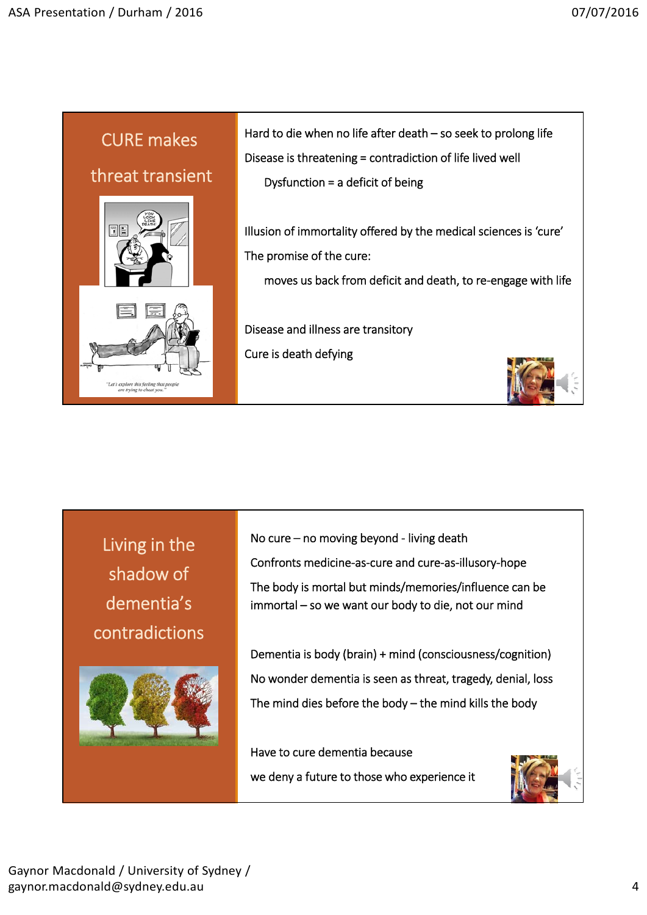

Living in the shadow of dementia's contradictions



No cure – no moving beyond ‐ living death Confronts medicine‐as‐cure and cure‐as‐illusory‐hope The body is mortal but minds/memories/influence can be immortal – so we want our body to die, not our mind

Dementia is body (brain) + mind (consciousness/cognition) No wonder dementia is seen as threat, tragedy, denial, loss The mind dies before the body – the mind kills the body

Have to cure dementia because we deny a future to those who experience it

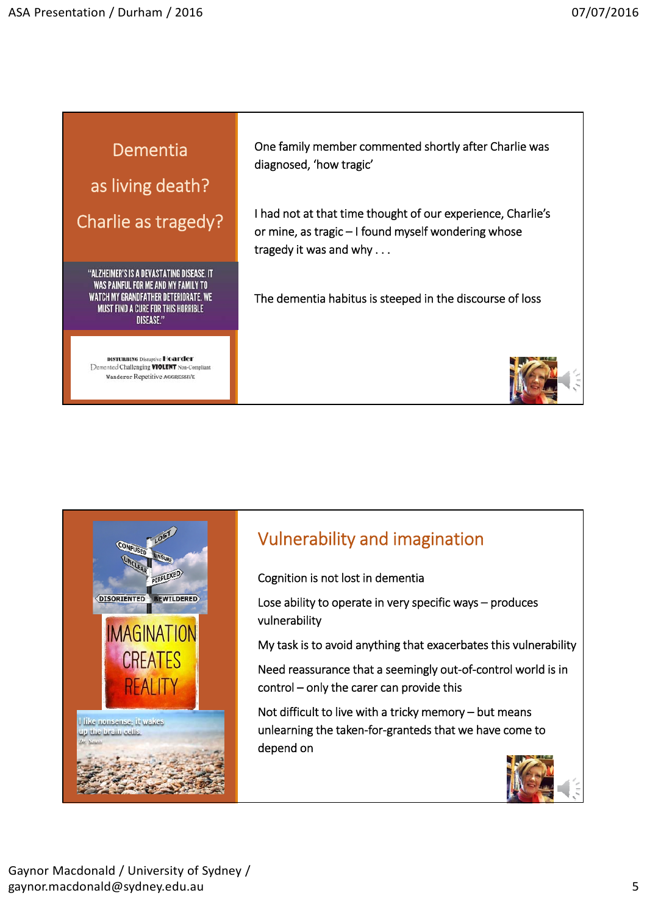## Dementia

as living death?

Charlie as tragedy?

"ALZHEIMER'S IS A DEVASTATING DISEASE. IT WAS PAINFUL FOR ME AND MY FAMILY TO WATCH MY GRANDFATHER DETERIORATE. WE **MUST FIND A CURE FOR THIS HORRIBLE DISEASE."** 

**DISTURBING Disruptive Hoarder**<br>
Demented Challenging **VIOLENT** Non-Compliant Wanderer Repetitive AGGRESSIVE

One family member commented shortly after Charlie was diagnosed, 'how tragic'

I had not at that time thought of our experience, Charlie's or mine, as tragic – I found myself wondering whose tragedy it was and why . . .

The dementia habitus is steeped in the discourse of loss





## Vulnerability and imagination

Cognition is not lost in dementia

Lose ability to operate in very specific ways – produces vulnerability

My task is to avoid anything that exacerbates this vulnerability

Need reassurance that a seemingly out‐of‐control world is in control – only the carer can provide this

Not difficult to live with a tricky memory – but means unlearning the taken‐for‐granteds that we have come to depend on

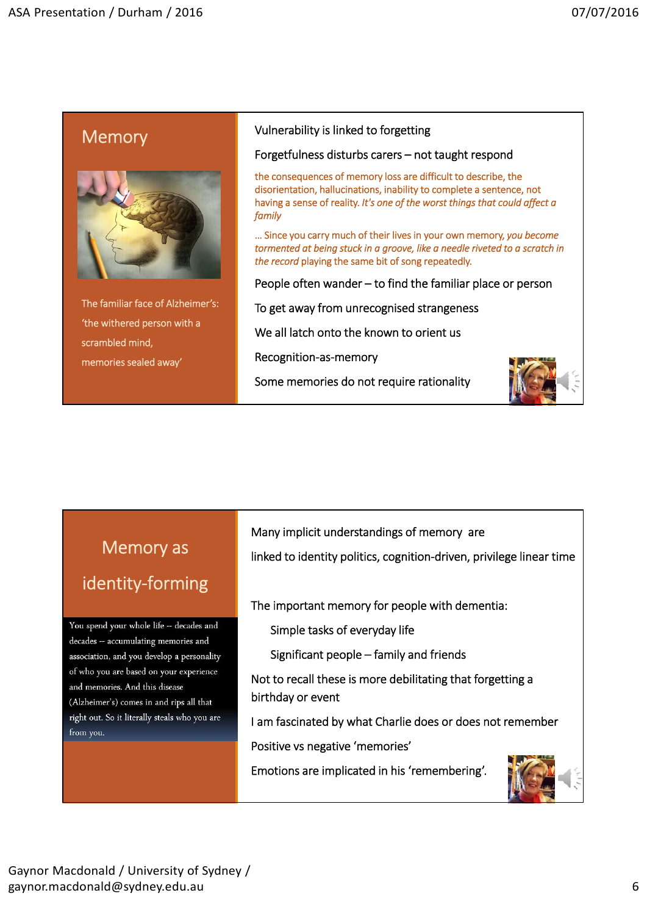### **Memory**



The familiar face of Alzheimer's: 'the withered person with a scrambled mind, memories sealed away'

#### Vulnerability is linked to forgetting

#### Forgetfulness disturbs carers – not taught respond

the consequences of memory loss are difficult to describe, the disorientation, hallucinations, inability to complete a sentence, not having a sense of reality. *It's one of the worst things that could affect a family*

… Since you carry much of their lives in your own memory, *you become tormented at being stuck in a groove, like a needle riveted to a scratch in the record* playing the same bit of song repeatedly.

People often wander – to find the familiar place or person

To get away from unrecognised strangeness

We all latch onto the known to orient us

Recognition‐as‐memory

Some memories do not require rationality



# Memory as identity‐forming

You spend your whole life -- decades and decades -- accumulating memories and association, and you develop a personality of who you are based on your experience and memories. And this disease (Alzheimer's) comes in and rips all that right out. So it literally steals who you are from you.

Many implicit understandings of memory are

linked to identity politics, cognition‐driven, privilege linear time

The important memory for people with dementia:

Simple tasks of everyday life

Significant people – family and friends

Not to recall these is more debilitating that forgetting a birthday or event

I am fascinated by what Charlie does or does not remember

Positive vs negative 'memories'

Emotions are implicated in his 'remembering'.

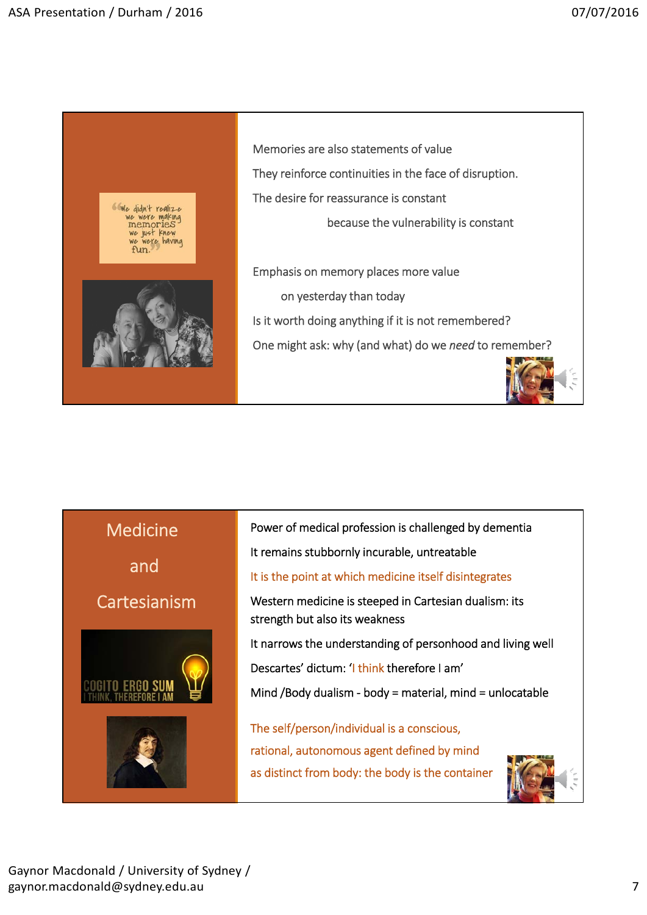

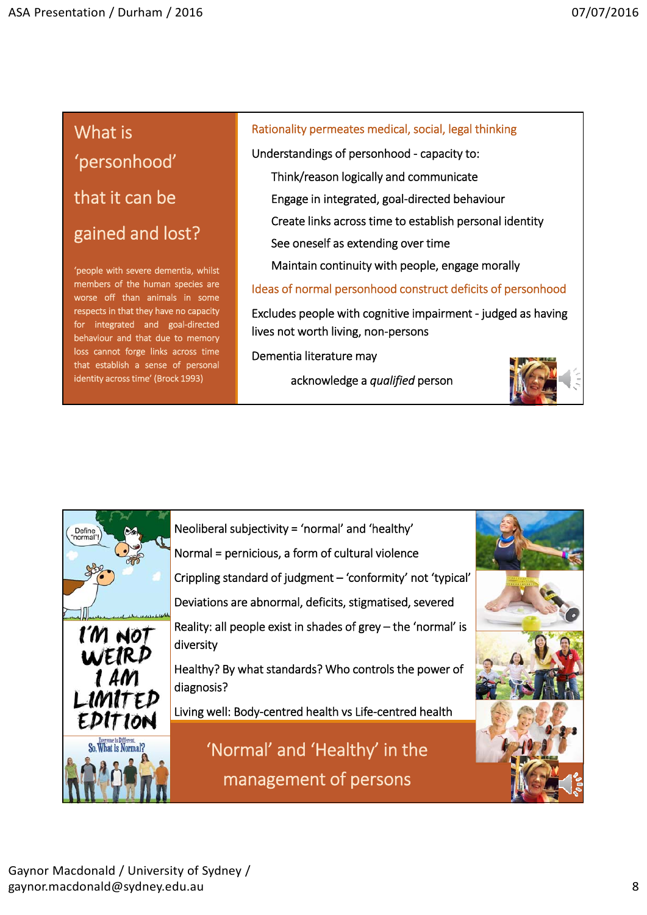# What is 'personhood' that it can be gained and lost?

'people with severe dementia, whilst members of the human species are worse off than animals in some respects in that they have no capacity for integrated and goal-directed behaviour and that due to memory loss cannot forge links across time that establish a sense of personal identity across time' (Brock 1993)

### Rationality permeates medical, social, legal thinking

Understandings of personhood ‐ capacity to:

Think/reason logically and communicate

Engage in integrated, goal‐directed behaviour

Create links across time to establish personal identity

See oneself as extending over time

Maintain continuity with people, engage morally

Ideas of normal personhood construct deficits of personhood

Excludes people with cognitive impairment ‐ judged as having lives not worth living, non‐persons

Dementia literature may

acknowledge a *qualified* person



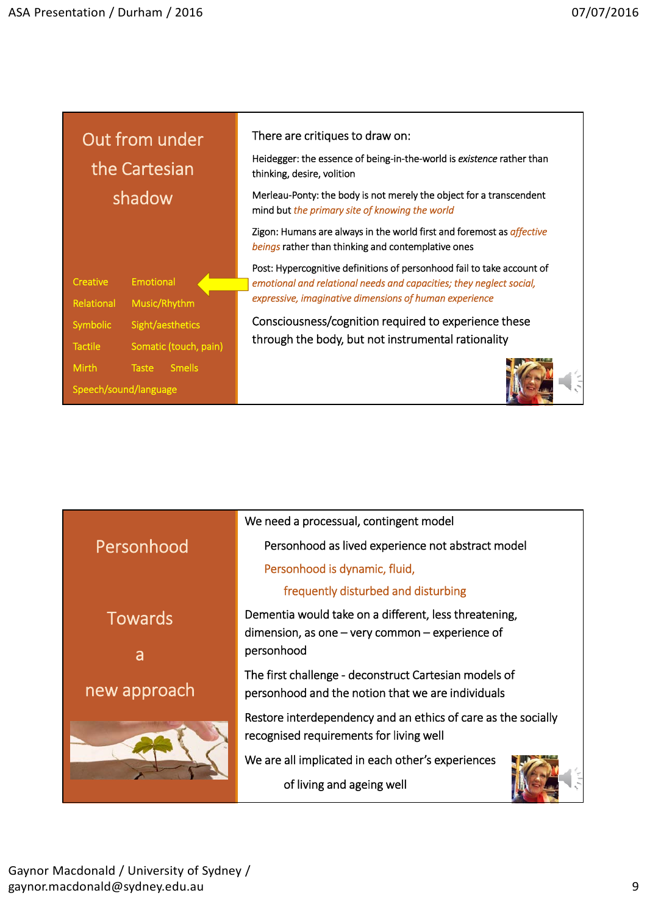| Out from under<br>the Cartesian                                         | There are critiques to draw on:<br>Heidegger: the essence of being-in-the-world is existence rather than<br>thinking, desire, volition                                                                  |
|-------------------------------------------------------------------------|---------------------------------------------------------------------------------------------------------------------------------------------------------------------------------------------------------|
| shadow                                                                  | Merleau-Ponty: the body is not merely the object for a transcendent<br>mind but the primary site of knowing the world                                                                                   |
|                                                                         | Zigon: Humans are always in the world first and foremost as affective<br>beings rather than thinking and contemplative ones                                                                             |
| <b>Emotional</b><br>Creative<br>Music/Rhythm<br>Relational              | Post: Hypercognitive definitions of personhood fail to take account of<br>emotional and relational needs and capacities; they neglect social,<br>expressive, imaginative dimensions of human experience |
| Symbolic<br>Sight/aesthetics<br>Somatic (touch, pain)<br><b>Tactile</b> | Consciousness/cognition required to experience these<br>through the body, but not instrumental rationality                                                                                              |
| <b>Mirth</b><br><b>Smells</b><br>Taste<br>Speech/sound/language         |                                                                                                                                                                                                         |

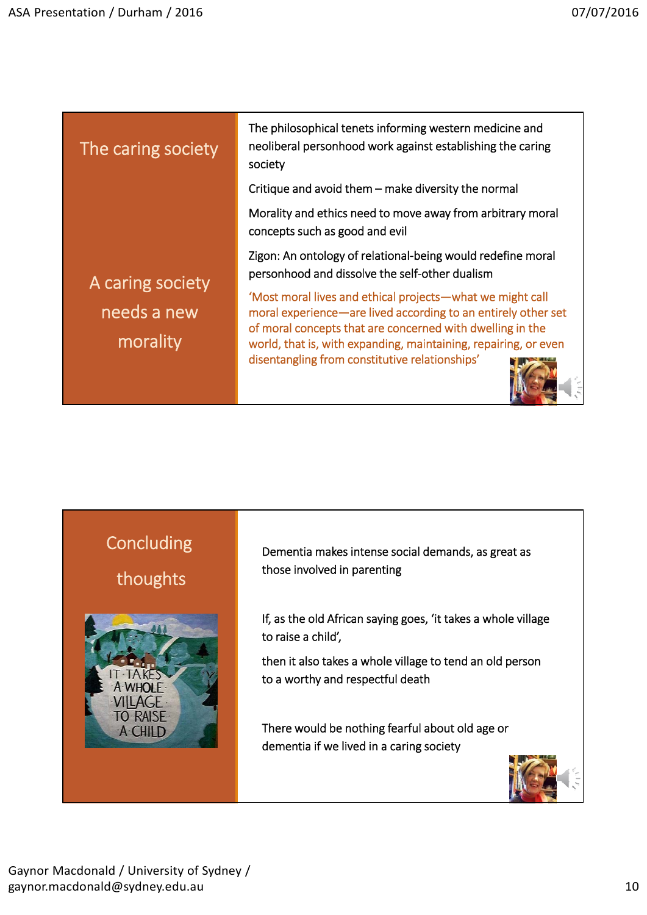| The caring society                          | The philosophical tenets informing western medicine and<br>neoliberal personhood work against establishing the caring<br>society                                                                                                                           |
|---------------------------------------------|------------------------------------------------------------------------------------------------------------------------------------------------------------------------------------------------------------------------------------------------------------|
|                                             | Critique and avoid them - make diversity the normal                                                                                                                                                                                                        |
|                                             | Morality and ethics need to move away from arbitrary moral<br>concepts such as good and evil                                                                                                                                                               |
| A caring society<br>needs a new<br>morality | Zigon: An ontology of relational-being would redefine moral<br>personhood and dissolve the self-other dualism                                                                                                                                              |
|                                             | 'Most moral lives and ethical projects-what we might call<br>moral experience—are lived according to an entirely other set<br>of moral concepts that are concerned with dwelling in the<br>world, that is, with expanding, maintaining, repairing, or even |
|                                             | disentangling from constitutive relationships'                                                                                                                                                                                                             |